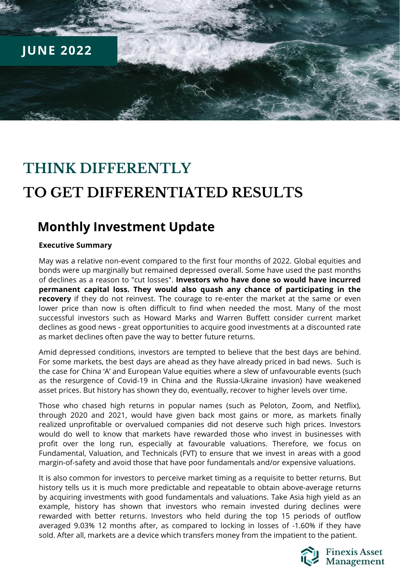

# **THINK DIFFERENTLY TO GET DIFFERENTIATED RESULTS**

### **Monthly Investment Update**

### **Executive Summary**

May was a relative non-event compared to the first four months of 2022. Global equities and bonds were up marginally but remained depressed overall. Some have used the past months of declines as a reason to "cut losses". **Investors who have done so would have incurred permanent capital loss. They would also quash any chance of participating in the recovery** if they do not reinvest. The courage to re-enter the market at the same or even lower price than now is often difficult to find when needed the most. Many of the most successful investors such as Howard Marks and Warren Buffett consider current market declines as good news - great opportunities to acquire good investments at a discounted rate as market declines often pave the way to better future returns.

Amid depressed conditions, investors are tempted to believe that the best days are behind. For some markets, the best days are ahead as they have already priced in bad news. Such is the case for China 'A' and European Value equities where a slew of unfavourable events (such as the resurgence of Covid-19 in China and the Russia-Ukraine invasion) have weakened asset prices. But history has shown they do, eventually, recover to higher levels over time.

Those who chased high returns in popular names (such as Peloton, Zoom, and Netflix), through 2020 and 2021, would have given back most gains or more, as markets finally realized unprofitable or overvalued companies did not deserve such high prices. Investors would do well to know that markets have rewarded those who invest in businesses with profit over the long run, especially at favourable valuations. Therefore, we focus on Fundamental, Valuation, and Technicals (FVT) to ensure that we invest in areas with a good margin-of-safety and avoid those that have poor fundamentals and/or expensive valuations.

It is also common for investors to perceive market timing as a requisite to better returns. But history tells us it is much more predictable and repeatable to obtain above-average returns by acquiring investments with good fundamentals and valuations. Take Asia high yield as an example, history has shown that investors who remain invested during declines were rewarded with better returns. Investors who held during the top 15 periods of outflow averaged 9.03% 12 months after, as compared to locking in losses of -1.60% if they have sold. After all, markets are a device which transfers money from the impatient to the patient.

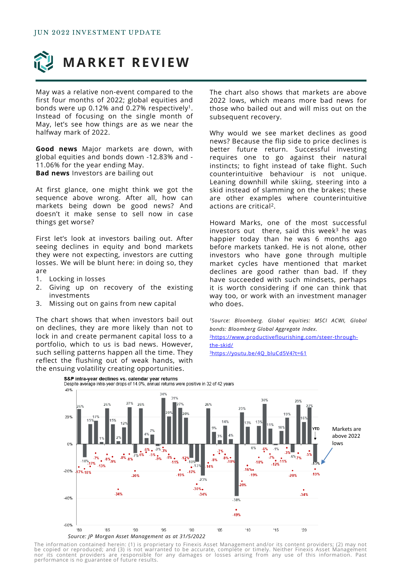

May was a relative non-event compared to the first four months of 2022; global equities and bonds were up 0.12% and 0.27% respectively<sup>1</sup>. Instead of focusing on the single month of May, let's see how things are as we near the halfway mark of 2022.

**Good news** Major markets are down, with global equities and bonds down -12.83% and - 11.06% for the year ending May. **Bad news** Investors are bailing out

At first glance, one might think we got the sequence above wrong. After all, how can markets being down be good news? And doesn't it make sense to sell now in case things get worse?

First let's look at investors bailing out. After seeing declines in equity and bond markets they were not expecting, investors are cutting losses. We will be blunt here: in doing so, they are

- 1. Locking in losses
- 2. Giving up on recovery of the existing investments
- 3. Missing out on gains from new capital

The chart shows that when investors bail out on declines, they are more likely than not to lock in and create permanent capital loss to a portfolio, which to us is bad news. However, such selling patterns happen all the time. They reflect the flushing out of weak hands, with the ensuing volatility creating opportunities.

The chart also shows that markets are above 2022 lows, which means more bad news for those who bailed out and will miss out on the subsequent recovery.

Why would we see market declines as good news? Because the flip side to price declines is better future return. Successful investing requires one to go against their natural instincts; to fight instead of take flight. Such counterintuitive behaviour is not unique. Leaning downhill while skiing, steering into a skid instead of slamming on the brakes; these are other examples where counterintuitive actions are critical<sup>2</sup>.

Howard Marks, one of the most successful investors out there, said this week $3$  he was happier today than he was 6 months ago before markets tanked. He is not alone, other investors who have gone through multiple market cycles have mentioned that market declines are good rather than bad. If they have succeeded with such mindsets, perhaps it is worth considering if one can think that way too, or work with an investment manager who does.

*<sup>1</sup>Source: Bloomberg. Global equities: MSCI ACWI, Global bonds: Bloomberg Global Aggregate Index.* 2[https://www.productiveflourishing.com/steer-through](https://www.productiveflourishing.com/steer-through-the-skid/)the-skid/ 3[https://youtu.be/4Q\\_bluCd5V4?t=61](https://youtu.be/4Q_bluCd5V4?t=61)



The information contained herein: (1) is proprietary to Finexis Asset Management and/or its content providers; (2) may not<br>be copied or reproduced; and (3) is not warranted to be accurate, complete or timely. Neither Finex nor its content providers are responsible for any damages or losses arising from any use of this information. Past<br>performanceiis no guarantee of future results.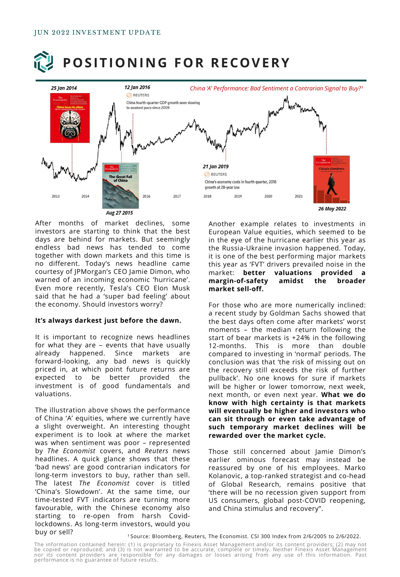# **POSITIONING FOR RECOVERY**



After months of market declines, some investors are starting to think that the best days are behind for markets. But seemingly endless bad news has tended to come together with down markets and this time is no different. Today's news headline came courtesy of JPMorgan's CEO Jamie Dimon, who warned of an incoming economic 'hurricane'. Even more recently, Tesla's CEO Elon Musk said that he had a 'super bad feeling' about the economy. Should investors worry?

#### **It's always darkest just before the dawn.**

It is important to recognize news headlines for what they are – events that have usually already happened. Since markets are forward-looking, any bad news is quickly priced in, at which point future returns are expected to be better provided the investment is of good fundamentals and valuations.

The illustration above shows the performance of China 'A' equities, where we currently have a slight overweight. An interesting thought experiment is to look at where the market was when sentiment was poor – represented by *The Economist* covers, and *Reuters* news headlines. A quick glance shows that these 'bad news' are good contrarian indicators for long-term investors to buy, rather than sell. The latest *The Economist* cover is titled 'China's Slowdown'. At the same time, our time-tested FVT indicators are turning more favourable, with the Chinese economy also starting to re-open from harsh Covidlockdowns. As long-term investors, would you buy or sell?

Another example relates to investments in European Value equities, which seemed to be in the eye of the hurricane earlier this year as the Russia-Ukraine invasion happened. Today, it is one of the best performing major markets this year as 'FVT' drivers prevailed noise in the market: **better valuations provided a margin-of-safety amidst the broader market sell-off.**

For those who are more numerically inclined: a recent study by Goldman Sachs showed that the best days often come after markets' worst moments – the median return following the start of bear markets is +24% in the following 12-months. This is more than double compared to investing in 'normal' periods. The conclusion was that 'the risk of missing out on the recovery still exceeds the risk of further pullback'. No one knows for sure if markets will be higher or lower tomorrow, next week, next month, or even next year. **What we do know with high certainty is that markets will eventually be higher and investors who can sit through or even take advantage of such temporary market declines will be rewarded over the market cycle.**

Those still concerned about Jamie Dimon's earlier ominous forecast may instead be reassured by one of his employees. Marko Kolanovic, a top-ranked strategist and co-head of Global Research, remains positive that 'there will be no recession given support from US consumers, global post-COVID reopening, and China stimulus and recovery".

<sup>1</sup> Source: Bloomberg, Reuters, The Economist. CSI 300 Index from 2/6/2005 to 2/6/2022.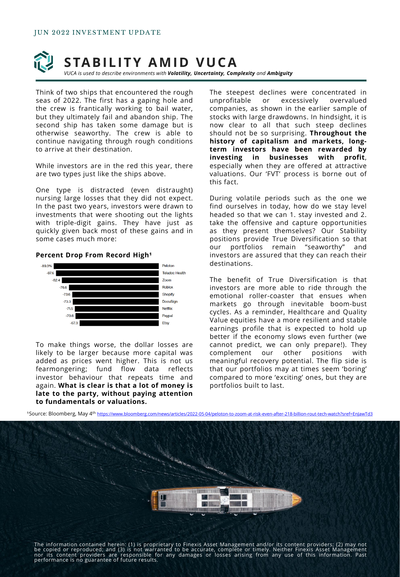

*VUCA is used to describe environments with Volatility, Uncertainty, Complexity and Ambiguity*

Think of two ships that encountered the rough seas of 2022. The first has a gaping hole and the crew is frantically working to bail water, but they ultimately fail and abandon ship. The second ship has taken some damage but is otherwise seaworthy. The crew is able to continue navigating through rough conditions to arrive at their destination.

While investors are in the red this year, there are two types just like the ships above.

One type is distracted (even distraught) nursing large losses that they did not expect. In the past two years, investors were drawn to investments that were shooting out the lights with triple-digit gains. They have just as quickly given back most of these gains and in some cases much more:

#### **Percent Drop From Record High<sup>1</sup>**



To make things worse, the dollar losses are likely to be larger because more capital was added as prices went higher. This is not us fearmongering; fund flow data reflects investor behaviour that repeats time and again. **What is clear is that a lot of money is late to the party, without paying attention to fundamentals or valuations.**

The steepest declines were concentrated in unprofitable or excessively overvalued companies, as shown in the earlier sample of stocks with large drawdowns. In hindsight, it is now clear to all that such steep declines should not be so surprising. **Throughout the history of capitalism and markets, longterm investors have been rewarded by investing in businesses with profit**, especially when they are offered at attractive valuations. Our 'FVT' process is borne out of this fact.

During volatile periods such as the one we find ourselves in today, how do we stay level headed so that we can 1. stay invested and 2. take the offensive and capture opportunities as they present themselves? Our Stability positions provide True Diversification so that our portfolios remain "seaworthy" and investors are assured that they can reach their destinations.

The benefit of True Diversification is that investors are more able to ride through the emotional roller-coaster that ensues when markets go through inevitable boom-bust cycles. As a reminder, Healthcare and Quality Value equities have a more resilient and stable earnings profile that is expected to hold up better if the economy slows even further (we cannot predict, we can only prepare!). They complement our other positions with meaningful recovery potential. The flip side is that our portfolios may at times seem 'boring' compared to more 'exciting' ones, but they are portfolios built to last.



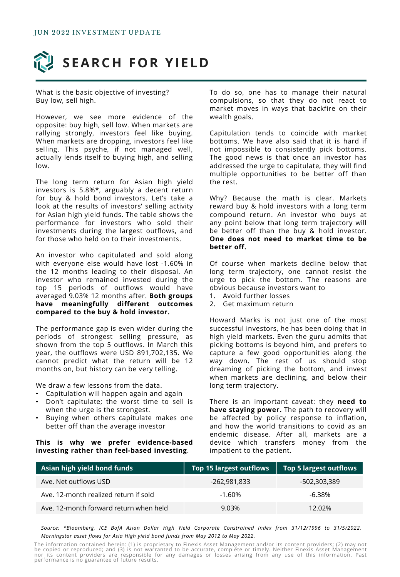

What is the basic objective of investing? Buy low, sell high.

However, we see more evidence of the opposite: buy high, sell low. When markets are rallying strongly, investors feel like buying. When markets are dropping, investors feel like selling. This psyche, if not managed well, actually lends itself to buying high, and selling low.

The long term return for Asian high yield investors is 5.8%\*, arguably a decent return for buy & hold bond investors. Let's take a look at the results of investors' selling activity for Asian high yield funds. The table shows the performance for investors who sold their investments during the largest outflows, and for those who held on to their investments.

An investor who capitulated and sold along with everyone else would have lost -1.60% in the 12 months leading to their disposal. An investor who remained invested during the top 15 periods of outflows would have averaged 9.03% 12 months after. **Both groups have meaningfully different outcomes compared to the buy & hold investor.**

The performance gap is even wider during the periods of strongest selling pressure, as shown from the top 5 outflows. In March this year, the outflows were USD 891,702,135. We cannot predict what the return will be 12 months on, but history can be very telling.

We draw a few lessons from the data.

- Capitulation will happen again and again
- Don't capitulate; the worst time to sell is when the urge is the strongest.
- Buying when others capitulate makes one better off than the average investor

#### **This is why we prefer evidence-based investing rather than feel-based investing**.

To do so, one has to manage their natural compulsions, so that they do not react to market moves in ways that backfire on their wealth goals.

Capitulation tends to coincide with market bottoms. We have also said that it is hard if not impossible to consistently pick bottoms. The good news is that once an investor has addressed the urge to capitulate, they will find multiple opportunities to be better off than the rest.

Why? Because the math is clear. Markets reward buy & hold investors with a long term compound return. An investor who buys at any point below that long term trajectory will be better off than the buy & hold investor. **One does not need to market time to be better off.**

Of course when markets decline below that long term trajectory, one cannot resist the urge to pick the bottom. The reasons are obvious because investors want to

- 1. Avoid further losses
- 2. Get maximum return

Howard Marks is not just one of the most successful investors, he has been doing that in high yield markets. Even the guru admits that picking bottoms is beyond him, and prefers to capture a few good opportunities along the way down. The rest of us should stop dreaming of picking the bottom, and invest when markets are declining, and below their long term trajectory.

There is an important caveat: they **need to have staying power.** The path to recovery will be affected by policy response to inflation, and how the world transitions to covid as an endemic disease. After all, markets are a device which transfers money from the impatient to the patient.

| Asian high yield bond funds            | Top 15 largest outflows | <b>Top 5 largest outflows</b> |
|----------------------------------------|-------------------------|-------------------------------|
| Ave. Net outflows USD                  | -262,981,833            | -502,303,389                  |
| Ave. 12-month realized return if sold  | $-1.60\%$               | $-6.38\%$                     |
| Ave. 12-month forward return when held | 9.03%                   | $12.02\%$                     |

*Source: \*Bloomberg, ICE BofA Asian Dollar High Yield Corporate Constrained Index from 31/12/1996 to 31/5/2022. Morningstar asset flows for Asia High yield bond funds from May 2012 to May 2022.*

The information contained herein: (1) is proprietary to Finexis Asset Management and/or its content providers; (2) may not<br>be copied or reproduced; and (3) is not warranted to be accurate, complete or timely. Neither Finex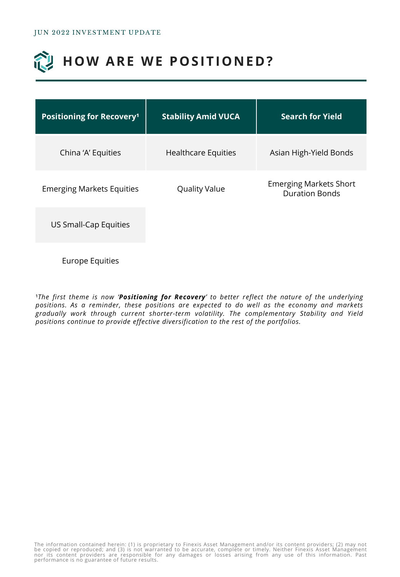# **HOW ARE WE POSITIONED?**

| <b>Stability Amid VUCA</b> | <b>Search for Yield</b>                                |
|----------------------------|--------------------------------------------------------|
| <b>Healthcare Equities</b> | Asian High-Yield Bonds                                 |
| <b>Quality Value</b>       | <b>Emerging Markets Short</b><br><b>Duration Bonds</b> |
|                            |                                                        |
|                            |                                                        |

Europe Equities

¹*The first theme is now 'Positioning for Recovery' to better reflect the nature of the underlying positions. As a reminder, these positions are expected to do well as the economy and markets gradually work through current shorter-term volatility. The complementary Stability and Yield positions continue to provide effective diversification to the rest of the portfolios.*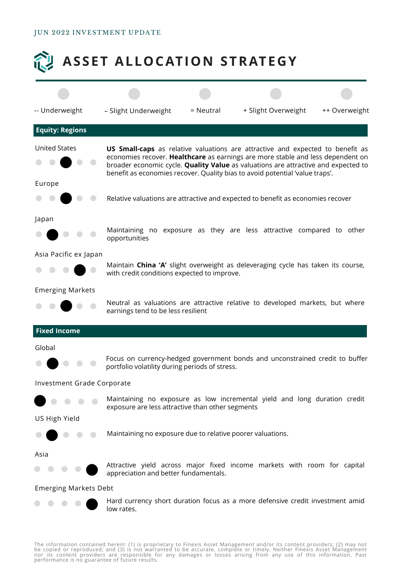### JUN 2022 INVESTMENT UPDATE



The information contained herein: (1) is proprietary to Finexis Asset Management and/or its content providers; (2) may not<br>be copied or reproduced; and (3) is not warranted to be accurate, complete or timely. Neither Finex nor its content providers are responsible for any damages or losses arising from any use of this information. Past<br>performanceiis no guarantee of future results.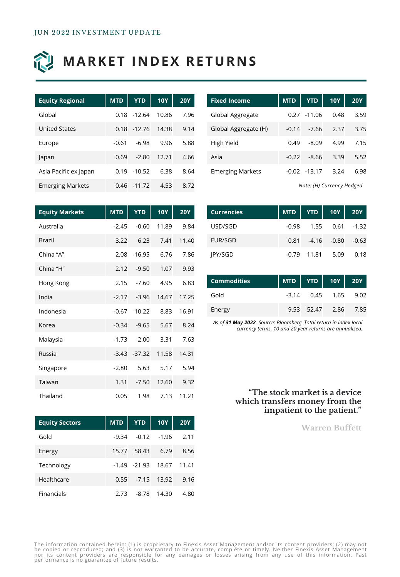

## **MARKET INDEX RETURNS**

| <b>Equity Regional</b>  | <b>MTD</b> | <b>YTD</b> | <b>10Y</b> | <b>20Y</b> |
|-------------------------|------------|------------|------------|------------|
| Global                  | 0.18       | $-12.64$   | 10.86      | 7.96       |
| United States           | 0.18       | $-12.76$   | 14.38      | 9.14       |
| Europe                  | $-0.61$    | $-6.98$    | 9.96       | 5.88       |
| Japan                   | 0.69       | $-2.80$    | 12.71      | 4.66       |
| Asia Pacific ex Japan   | 0.19       | $-10.52$   | 6.38       | 8.64       |
| <b>Emerging Markets</b> | 0.46       | $-11.72$   | 4.53       | 8.72       |

| <b>Fixed Income</b>     | <b>MTD</b> | <b>YTD</b>      | <b>10Y</b> | <b>20Y</b> |
|-------------------------|------------|-----------------|------------|------------|
| Global Aggregate        |            | $0.27 - 11.06$  | 0.48       | 3.59       |
| Global Aggregate (H)    | $-0.14$    | $-7.66$         | 2.37       | 3.75       |
| High Yield              | 0.49       | $-8.09$         | 4.99       | 7.15       |
| Asia                    | $-0.22$    | $-8.66$         | 3.39       | 5.52       |
| <b>Emerging Markets</b> |            | $-0.02 - 13.17$ | 3.24       | 6.98       |

*Note: (H) Currency Hedged*

| <b>Equity Markets</b> | <b>MTD</b> | <b>YTD</b>      | <b>10Y</b> | <b>20Y</b> |
|-----------------------|------------|-----------------|------------|------------|
| Australia             | $-2.45$    | $-0.60$         | 11.89      | 9.84       |
| <b>Brazil</b>         | 3.22       | 6.23            | 7.41       | 11.40      |
| China "A"             | 2.08       | $-16.95$        | 6.76       | 7.86       |
| China "H"             | 2.12       | $-9.50$         | 1.07       | 9.93       |
| Hong Kong             | 2.15       | $-7.60$         | 4.95       | 6.83       |
| India                 | $-2.17$    | $-3.96$         | 14.67      | 17.25      |
| Indonesia             | $-0.67$    | 10.22           | 8.83       | 16.91      |
| Korea                 | $-0.34$    | $-9.65$         | 5.67       | 8.24       |
| Malaysia              | $-1.73$    | 2.00            | 3.31       | 7.63       |
| Russia                |            | $-3.43 - 37.32$ | 11.58      | 14.31      |
| Singapore             | $-2.80$    | 5.63            | 5.17       | 5.94       |
| Taiwan                | 1.31       | $-7.50$         | 12.60      | 9.32       |
| Thailand              | 0.05       | 1.98            | 7.13       | 11.21      |

| <b>Currencies</b> |  | MTD   YTD   10Y   20Y     |      |
|-------------------|--|---------------------------|------|
| USD/SGD           |  | $-0.98$ 1.55 0.61 $-1.32$ |      |
| EUR/SGD           |  | $0.81 -4.16 -0.80 -0.63$  |      |
| <b>IPY/SGD</b>    |  | $-0.79$ 11.81 5.09        | 0.18 |

| Commodities |  | MTD   YTD   10Y   20Y  |  |
|-------------|--|------------------------|--|
| Gold        |  | $-3.14$ 0.45 1.65 9.02 |  |
| Energy      |  | 9.53 52.47 2.86 7.85   |  |

*As of 31 May 2022. Source: Bloomberg. Total return in index local currency terms. 10 and 20 year returns are annualized.*

### **"The stock market is a device which transfers money from the impatient to the patient."**

**Warren Buffett**

| <b>Equity Sectors</b> | MTD <sup></sup> |                 | $\sqrt{10}$ 10Y | <b>20Y</b> |
|-----------------------|-----------------|-----------------|-----------------|------------|
| Gold                  | $-9.34$         | $-0.12$         | $-1.96$         | 2.11       |
| Energy                | 15.77           | 58.43           | 6.79            | 8.56       |
| Technology            |                 | $-1.49 - 21.93$ | 18.67           | 11.41      |
| Healthcare            | 0.55            |                 | -7.15 13.92     | 9.16       |
| Financials            | 2.73            | $-8.78$         | 14.30           | 4.80       |

The information contained herein: (1) is proprietary to Finexis Asset Management and/or its content providers; (2) may not<br>be copied or reproduced; and (3) is not warranted to be accurate, complete or timely. Neither Finex